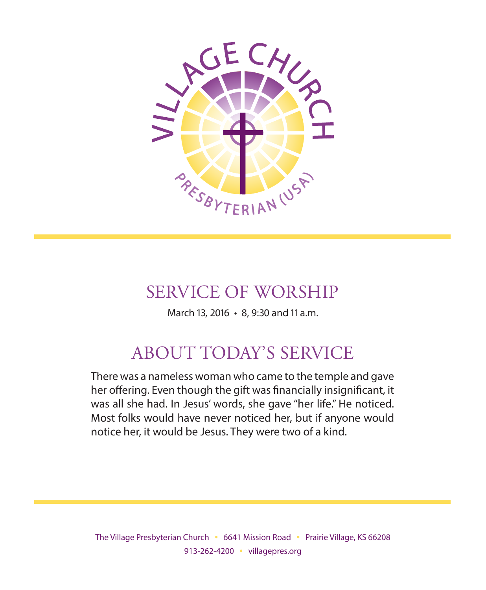

# SERVICE OF WORSHIP

March 13, 2016 • 8, 9:30 and 11 a.m.

# ABOUT TODAY'S SERVICE

There was a nameless woman who came to the temple and gave her offering. Even though the gift was financially insignificant, it was all she had. In Jesus' words, she gave "her life." He noticed. Most folks would have never noticed her, but if anyone would notice her, it would be Jesus. They were two of a kind.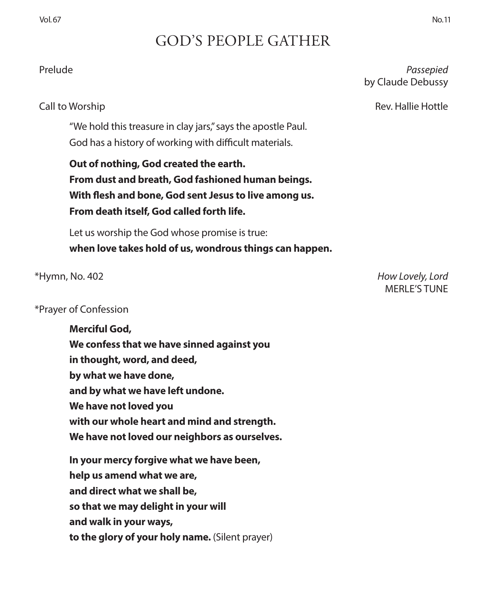## GOD'S PEOPLE GATHER

"We hold this treasure in clay jars," says the apostle Paul. God has a history of working with difficult materials.

**Out of nothing, God created the earth. From dust and breath, God fashioned human beings. With flesh and bone, God sent Jesus to live among us. From death itself, God called forth life.**

Let us worship the God whose promise is true: **when love takes hold of us, wondrous things can happen.**

#### \*Prayer of Confession

**Merciful God, We confess that we have sinned against you in thought, word, and deed, by what we have done, and by what we have left undone. We have not loved you with our whole heart and mind and strength. We have not loved our neighbors as ourselves. In your mercy forgive what we have been, help us amend what we are, and direct what we shall be, so that we may delight in your will and walk in your ways, to the glory of your holy name.** (Silent prayer)

\*Hymn, No. 402 *How Lovely, Lord*  MERLE'S TUNE

### Prelude *Passepied* by Claude Debussy

Call to Worship Rev. Hallie Hottle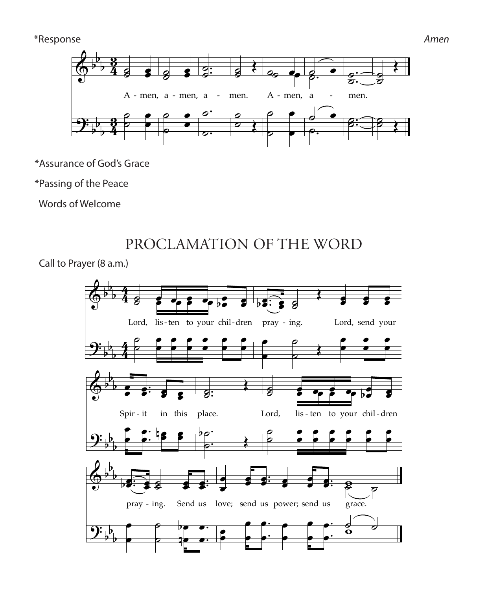#### \*Response *Amen*



\*Assurance of God's Grace MUSIC: *Deutsche Messe,* Franz Schubert, 1827; adapt. Richard Proulx, 1985 ˙ ˙

\*Passing of the Peace *Music Adapt. © 1985, 1989 GIA Publications, Inc.*   $\epsilon$ he Pe ˙  $=$ 

 Words of Welcome ne reaed<br>elcome

> PROCLAMATION OF THE WORD  $\mathbf{I}$ 565 Holy, Holy, Holy PROCLAMATION OF THE WORD DDOCLAMATION OF THE WORD

Call to Prayer (8 a.m.) .m.)  $\ddot{a}$ 

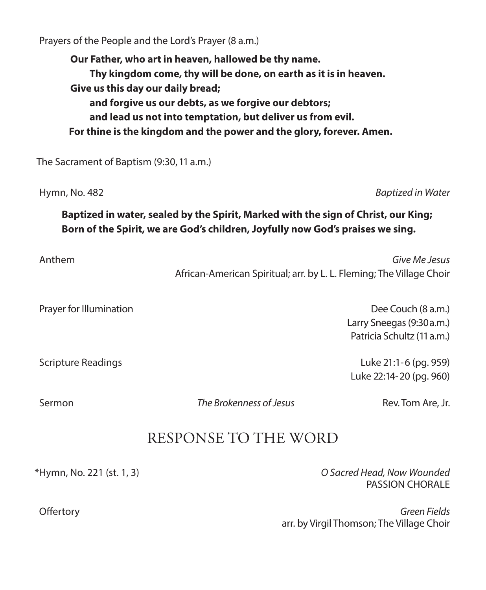Prayers of the People and the Lord's Prayer (8 a.m.)

**Our Father, who art in heaven, hallowed be thy name. Thy kingdom come, thy will be done, on earth as it is in heaven. Give us this day our daily bread; and forgive us our debts, as we forgive our debtors; and lead us not into temptation, but deliver us from evil. For thine is the kingdom and the power and the glory, forever. Amen.**

The Sacrament of Baptism (9:30, 11 a.m.)

Hymn, No. 482 *Baptized in Water*

### **Baptized in water, sealed by the Spirit, Marked with the sign of Christ, our King; Born of the Spirit, we are God's children, Joyfully now God's praises we sing.**

| Anthem | Give Me Jesus                                                        |
|--------|----------------------------------------------------------------------|
|        | African-American Spiritual; arr. by L. L. Fleming; The Village Choir |

Prayer for Illumination **Dee Couch (8 a.m.)** 

 Larry Sneegas (9:30 a.m.) Patricia Schultz (11 a.m.)

Scripture Readings Luke 21:1-6 (pg. 959) Luke 22:14-20 (pg. 960)

Sermon *The Brokenness of Jesus* Rev. Tom Are, Jr.

## RESPONSE TO THE WORD

\*Hymn, No. 221 (st. 1, 3) *O Sacred Head, Now Wounded*  PASSION CHORALE

 Offertory *Green Fields*  arr. by Virgil Thomson; The Village Choir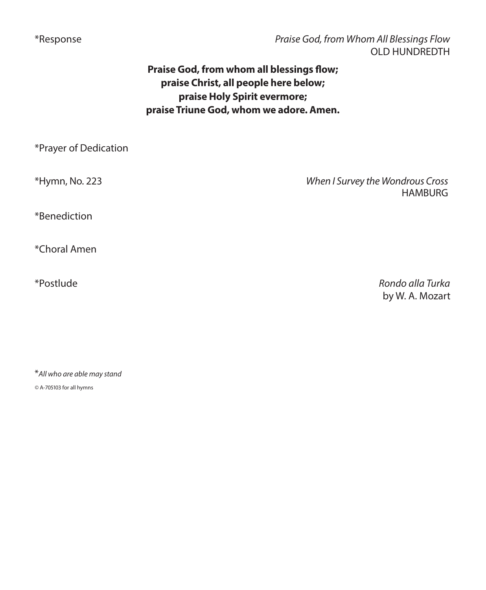\*Response *Praise God, from Whom All Blessings Flow*  OLD HUNDREDTH

### **Praise God, from whom all blessings flow; praise Christ, all people here below; praise Holy Spirit evermore; praise Triune God, whom we adore. Amen.**

| *Prayer of Dedication |                                                    |
|-----------------------|----------------------------------------------------|
| *Hymn, No. 223        | When I Survey the Wondrous Cross<br><b>HAMBURG</b> |
| *Benediction          |                                                    |
| *Choral Amen          |                                                    |
| *Postlude             | Rondo alla Turka<br>by W. A. Mozart                |

\**All who are able may stand*

*©* A-705103 for all hymns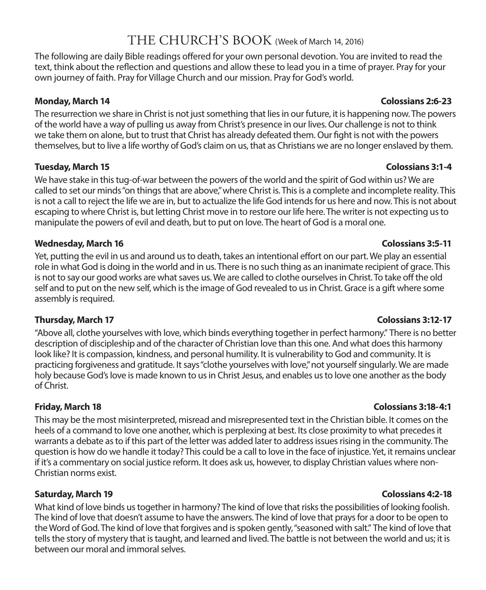## THE CHURCH'S BOOK (Week of March 14, 2016)

The following are daily Bible readings offered for your own personal devotion. You are invited to read the text, think about the reflection and questions and allow these to lead you in a time of prayer. Pray for your own journey of faith. Pray for Village Church and our mission. Pray for God's world.

#### **Monday, March 14 Colossians 2:6-23**

The resurrection we share in Christ is not just something that lies in our future, it is happening now. The powers of the world have a way of pulling us away from Christ's presence in our lives. Our challenge is not to think we take them on alone, but to trust that Christ has already defeated them. Our fight is not with the powers themselves, but to live a life worthy of God's claim on us, that as Christians we are no longer enslaved by them.

#### **Tuesday, March 15 Colossians 3:1-4**

We have stake in this tug-of-war between the powers of the world and the spirit of God within us? We are called to set our minds "on things that are above," where Christ is. This is a complete and incomplete reality. This is not a call to reject the life we are in, but to actualize the life God intends for us here and now. This is not about escaping to where Christ is, but letting Christ move in to restore our life here. The writer is not expecting us to manipulate the powers of evil and death, but to put on love. The heart of God is a moral one.

#### **Wednesday, March 16 Colossians 3:5-11**

Yet, putting the evil in us and around us to death, takes an intentional effort on our part. We play an essential role in what God is doing in the world and in us. There is no such thing as an inanimate recipient of grace. This is not to say our good works are what saves us. We are called to clothe ourselves in Christ. To take off the old self and to put on the new self, which is the image of God revealed to us in Christ. Grace is a gift where some assembly is required.

#### **Thursday, March 17 Colossians 3:12-17**

"Above all, clothe yourselves with love, which binds everything together in perfect harmony." There is no better description of discipleship and of the character of Christian love than this one. And what does this harmony look like? It is compassion, kindness, and personal humility. It is vulnerability to God and community. It is practicing forgiveness and gratitude. It says "clothe yourselves with love," not yourself singularly. We are made holy because God's love is made known to us in Christ Jesus, and enables us to love one another as the body of Christ.

This may be the most misinterpreted, misread and misrepresented text in the Christian bible. It comes on the heels of a command to love one another, which is perplexing at best. Its close proximity to what precedes it warrants a debate as to if this part of the letter was added later to address issues rising in the community. The question is how do we handle it today? This could be a call to love in the face of injustice. Yet, it remains unclear if it's a commentary on social justice reform. It does ask us, however, to display Christian values where non-Christian norms exist.

#### **Saturday, March 19 Colossians 4:2-18**

What kind of love binds us together in harmony? The kind of love that risks the possibilities of looking foolish. The kind of love that doesn't assume to have the answers. The kind of love that prays for a door to be open to the Word of God. The kind of love that forgives and is spoken gently, "seasoned with salt." The kind of love that tells the story of mystery that is taught, and learned and lived. The battle is not between the world and us; it is between our moral and immoral selves.

#### **Friday, March 18 Colossians 3:18-4:1**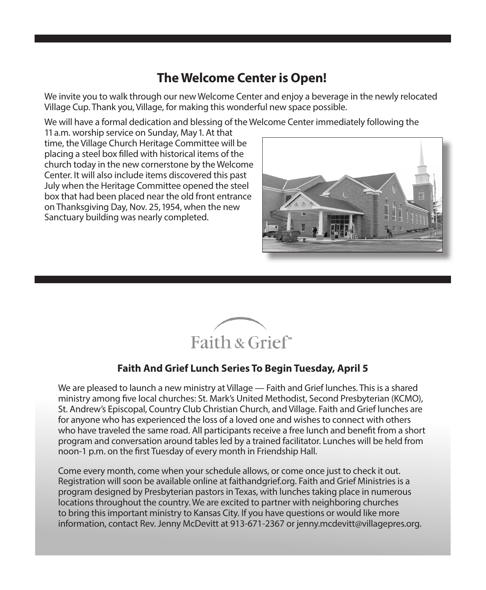## **The Welcome Center is Open!**

We invite you to walk through our new Welcome Center and enjoy a beverage in the newly relocated Village Cup. Thank you, Village, for making this wonderful new space possible.

We will have a formal dedication and blessing of the Welcome Center immediately following the

11 a.m. worship service on Sunday, May 1. At that time, the Village Church Heritage Committee will be placing a steel box filled with historical items of the church today in the new cornerstone by the Welcome Center. It will also include items discovered this past July when the Heritage Committee opened the steel box that had been placed near the old front entrance on Thanksgiving Day, Nov. 25, 1954, when the new Sanctuary building was nearly completed.





### **Faith And Grief Lunch Series To Begin Tuesday, April 5**

We are pleased to launch a new ministry at Village — Faith and Grief lunches. This is a shared ministry among five local churches: St. Mark's United Methodist, Second Presbyterian (KCMO), St. Andrew's Episcopal, Country Club Christian Church, and Village. Faith and Grief lunches are for anyone who has experienced the loss of a loved one and wishes to connect with others who have traveled the same road. All participants receive a free lunch and benefit from a short program and conversation around tables led by a trained facilitator. Lunches will be held from noon-1 p.m. on the first Tuesday of every month in Friendship Hall.

Come every month, come when your schedule allows, or come once just to check it out. Registration will soon be available online at faithandgrief.org. Faith and Grief Ministries is a program designed by Presbyterian pastors in Texas, with lunches taking place in numerous locations throughout the country. We are excited to partner with neighboring churches to bring this important ministry to Kansas City. If you have questions or would like more information, contact Rev. Jenny McDevitt at 913-671-2367 or jenny.mcdevitt@villagepres.org.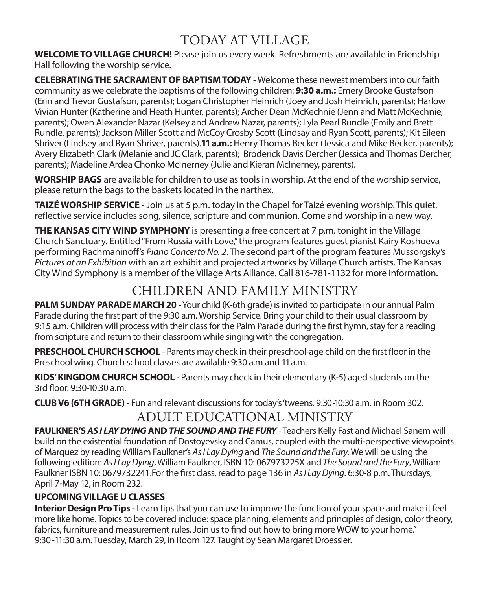## TODAY AT VILLAGE

**WELCOME TO VILLAGE CHURCH!** Please join us every week. Refreshments are available in Friendship Hall following the worship service.

**CELEBRATING THE SACRAMENT OF BAPTISM TODAY** - Welcome these newest members into our faith community as we celebrate the baptisms of the following children: **9:30 a.m.:** Emery Brooke Gustafson (Erin and Trevor Gustafson, parents); Logan Christopher Heinrich (Joey and Josh Heinrich, parents); Harlow Vivian Hunter (Katherine and Heath Hunter, parents); Archer Dean McKechnie (Jenn and Matt McKechnie, parents); Owen Alexander Nazar (Kelsey and Andrew Nazar, parents); Lyla Pearl Rundle (Emily and Brett Rundle, parents); Jackson Miller Scott and McCoy Crosby Scott (Lindsay and Ryan Scott, parents); Kit Eileen Shriver (Lindsey and Ryan Shriver, parents).**11 a.m.:** Henry Thomas Becker (Jessica and Mike Becker, parents); Avery Elizabeth Clark (Melanie and JC Clark, parents); Broderick Davis Dercher (Jessica and Thomas Dercher, parents); Madeline Ardea Chonko McInerney (Julie and Kieran McInerney, parents).

**WORSHIP BAGS** are available for children to use as tools in worship. At the end of the worship service, please return the bags to the baskets located in the narthex.

**TAIZÉ WORSHIP SERVICE** - Join us at 5 p.m. today in the Chapel for Taizé evening worship. This quiet, reflective service includes song, silence, scripture and communion. Come and worship in a new way.

**THE KANSAS CITY WIND SYMPHONY** is presenting a free concert at 7 p.m. tonight in the Village Church Sanctuary. Entitled "From Russia with Love," the program features guest pianist Kairy Koshoeva performing Rachmaninoff's *Piano Concerto No. 2*. The second part of the program features Mussorgsky's *Pictures at an Exhibition* with an art exhibit and projected artworks by Village Church artists. The Kansas City Wind Symphony is a member of the Village Arts Alliance. Call 816-781-1132 for more information.

## CHILDREN AND FAMILY MINISTRY

**PALM SUNDAY PARADE MARCH 20** - Your child (K-6th grade) is invited to participate in our annual Palm Parade during the first part of the 9:30 a.m. Worship Service. Bring your child to their usual classroom by 9:15 a.m. Children will process with their class for the Palm Parade during the first hymn, stay for a reading from scripture and return to their classroom while singing with the congregation.

**PRESCHOOL CHURCH SCHOOL** - Parents may check in their preschool-age child on the first floor in the Preschool wing. Church school classes are available 9:30 a.m and 11 a.m.

**KIDS' KINGDOM CHURCH SCHOOL** - Parents may check in their elementary (K-5) aged students on the 3rd floor. 9:30-10:30 a.m.

**CLUB V6 (6TH GRADE)** - Fun and relevant discussions for today's 'tweens. 9:30-10:30 a.m. in Room 302.

## ADULT EDUCATIONAL MINISTRY

**FAULKNER'S** *AS I LAY DYING* **AND** *THE SOUND AND THE FURY* - Teachers Kelly Fast and Michael Sanem will build on the existential foundation of Dostoyevsky and Camus, coupled with the multi-perspective viewpoints of Marquez by reading William Faulkner's *As I Lay Dying* and *The Sound and the Fury*. We will be using the following edition: *As I Lay Dying*, William Faulkner, ISBN 10: 067973225X and *The Sound and the Fury*, William Faulkner ISBN 10: 0679732241.For the first class, read to page 136 in *As I Lay Dying*. 6:30-8 p.m. Thursdays, April 7-May 12, in Room 232.

#### **UPCOMING VILLAGE U CLASSES**

**Interior Design Pro Tips** - Learn tips that you can use to improve the function of your space and make it feel more like home. Topics to be covered include: space planning, elements and principles of design, color theory, fabrics, furniture and measurement rules. Join us to find out how to bring more WOW to your home." 9:30-11:30 a.m. Tuesday, March 29, in Room 127. Taught by Sean Margaret Droessler.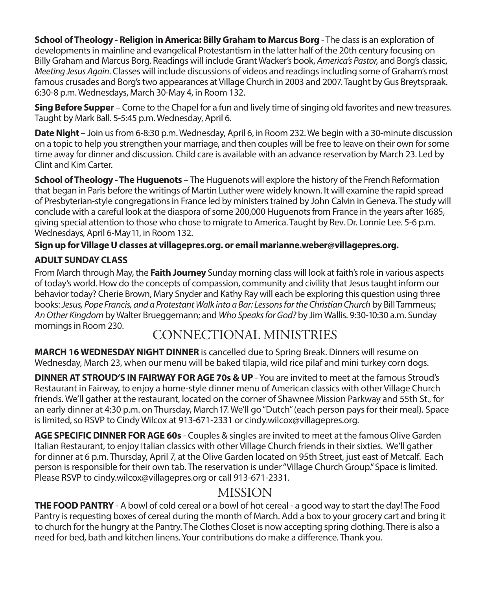**School of Theology - Religion in America: Billy Graham to Marcus Borg** - The class is an exploration of developments in mainline and evangelical Protestantism in the latter half of the 20th century focusing on Billy Graham and Marcus Borg. Readings will include Grant Wacker's book, *America's Pastor,* and Borg's classic, *Meeting Jesus Again*. Classes will include discussions of videos and readings including some of Graham's most famous crusades and Borg's two appearances at Village Church in 2003 and 2007. Taught by Gus Breytspraak. 6:30-8 p.m. Wednesdays, March 30-May 4, in Room 132.

**Sing Before Supper** – Come to the Chapel for a fun and lively time of singing old favorites and new treasures. Taught by Mark Ball. 5-5:45 p.m. Wednesday, April 6.

**Date Night** – Join us from 6-8:30 p.m. Wednesday, April 6, in Room 232. We begin with a 30-minute discussion on a topic to help you strengthen your marriage, and then couples will be free to leave on their own for some time away for dinner and discussion. Child care is available with an advance reservation by March 23. Led by Clint and Kim Carter.

**School of Theology - The Huguenots** – The Huguenots will explore the history of the French Reformation that began in Paris before the writings of Martin Luther were widely known. It will examine the rapid spread of Presbyterian-style congregations in France led by ministers trained by John Calvin in Geneva. The study will conclude with a careful look at the diaspora of some 200,000 Huguenots from France in the years after 1685, giving special attention to those who chose to migrate to America. Taught by Rev. Dr. Lonnie Lee. 5-6 p.m. Wednesdays, April 6-May 11, in Room 132.

#### **Sign up for Village U classes at villagepres.org. or email marianne.weber@villagepres.org.**

### **ADULT SUNDAY CLASS**

From March through May, the **Faith Journey** Sunday morning class will look at faith's role in various aspects of today's world. How do the concepts of compassion, community and civility that Jesus taught inform our behavior today? Cherie Brown, Mary Snyder and Kathy Ray will each be exploring this question using three books: *Jesus, Pope Francis, and a Protestant Walk into a Bar: Lessons for the Christian Church* by Bill Tammeus; *An Other Kingdom* by Walter Brueggemann; and *Who Speaks for God?* by Jim Wallis. 9:30-10:30 a.m. Sunday mornings in Room 230.

## CONNECTIONAL MINISTRIES

**MARCH 16 WEDNESDAY NIGHT DINNER** is cancelled due to Spring Break. Dinners will resume on Wednesday, March 23, when our menu will be baked tilapia, wild rice pilaf and mini turkey corn dogs.

**DINNER AT STROUD'S IN FAIRWAY FOR AGE 70s & UP** - You are invited to meet at the famous Stroud's Restaurant in Fairway, to enjoy a home-style dinner menu of American classics with other Village Church friends. We'll gather at the restaurant, located on the corner of Shawnee Mission Parkway and 55th St., for an early dinner at 4:30 p.m. on Thursday, March 17. We'll go "Dutch" (each person pays for their meal). Space is limited, so RSVP to Cindy Wilcox at 913-671-2331 or cindy.wilcox@villagepres.org.

**AGE SPECIFIC DINNER FOR AGE 60s** - Couples & singles are invited to meet at the famous Olive Garden Italian Restaurant, to enjoy Italian classics with other Village Church friends in their sixties. We'll gather for dinner at 6 p.m. Thursday, April 7, at the Olive Garden located on 95th Street, just east of Metcalf. Each person is responsible for their own tab. The reservation is under "Village Church Group." Space is limited. Please RSVP to cindy.wilcox@villagepres.org or call 913-671-2331.

### MISSION

**THE FOOD PANTRY** - A bowl of cold cereal or a bowl of hot cereal - a good way to start the day! The Food Pantry is requesting boxes of cereal during the month of March. Add a box to your grocery cart and bring it to church for the hungry at the Pantry. The Clothes Closet is now accepting spring clothing. There is also a need for bed, bath and kitchen linens. Your contributions do make a difference. Thank you.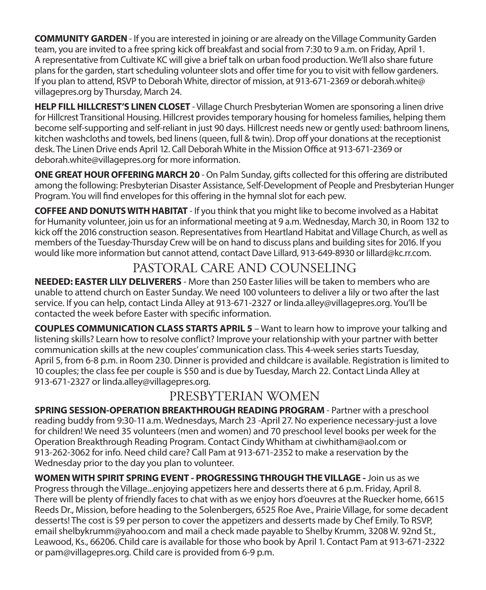**COMMUNITY GARDEN** - If you are interested in joining or are already on the Village Community Garden team, you are invited to a free spring kick off breakfast and social from 7:30 to 9 a.m. on Friday, April 1. A representative from Cultivate KC will give a brief talk on urban food production. We'll also share future plans for the garden, start scheduling volunteer slots and offer time for you to visit with fellow gardeners. If you plan to attend, RSVP to Deborah White, director of mission, at 913-671-2369 or deborah.white@ villagepres.org by Thursday, March 24.

**HELP FILL HILLCREST'S LINEN CLOSET** - Village Church Presbyterian Women are sponsoring a linen drive for Hillcrest Transitional Housing. Hillcrest provides temporary housing for homeless families, helping them become self-supporting and self-reliant in just 90 days. Hillcrest needs new or gently used: bathroom linens, kitchen washcloths and towels, bed linens (queen, full & twin). Drop off your donations at the receptionist desk. The Linen Drive ends April 12. Call Deborah White in the Mission Office at 913-671-2369 or deborah.white@villagepres.org for more information.

**ONE GREAT HOUR OFFERING MARCH 20** - On Palm Sunday, gifts collected for this offering are distributed among the following: Presbyterian Disaster Assistance, Self-Development of People and Presbyterian Hunger Program. You will find envelopes for this offering in the hymnal slot for each pew.

**COFFEE AND DONUTS WITH HABITAT** - If you think that you might like to become involved as a Habitat for Humanity volunteer, join us for an informational meeting at 9 a.m. Wednesday, March 30, in Room 132 to kick off the 2016 construction season. Representatives from Heartland Habitat and Village Church, as well as members of the Tuesday-Thursday Crew will be on hand to discuss plans and building sites for 2016. If you would like more information but cannot attend, contact Dave Lillard, 913-649-8930 or lillard@kc.rr.com.

## PASTORAL CARE AND COUNSELING

**NEEDED: EASTER LILY DELIVERERS** - More than 250 Easter lilies will be taken to members who are unable to attend church on Easter Sunday. We need 100 volunteers to deliver a lily or two after the last service. If you can help, contact Linda Alley at 913-671-2327 or linda.alley@villagepres.org. You'll be contacted the week before Easter with specific information.

**COUPLES COMMUNICATION CLASS STARTS APRIL 5** – Want to learn how to improve your talking and listening skills? Learn how to resolve conflict? Improve your relationship with your partner with better communication skills at the new couples' communication class. This 4-week series starts Tuesday, April 5, from 6-8 p.m. in Room 230. Dinner is provided and childcare is available. Registration is limited to 10 couples; the class fee per couple is \$50 and is due by Tuesday, March 22. Contact Linda Alley at 913-671-2327 or linda.alley@villagepres.org.

## PRESBYTERIAN WOMEN

**SPRING SESSION-OPERATION BREAKTHROUGH READING PROGRAM - Partner with a preschool** reading buddy from 9:30-11 a.m. Wednesdays, March 23 -April 27. No experience necessary-just a love for children! We need 35 volunteers (men and women) and 70 preschool level books per week for the Operation Breakthrough Reading Program. Contact Cindy Whitham at ciwhitham@aol.com or 913-262-3062 for info. Need child care? Call Pam at 913-671-2352 to make a reservation by the Wednesday prior to the day you plan to volunteer.

**WOMEN WITH SPIRIT SPRING EVENT - PROGRESSING THROUGH THE VILLAGE -** Join us as we Progress through the Village...enjoying appetizers here and desserts there at 6 p.m. Friday, April 8. There will be plenty of friendly faces to chat with as we enjoy hors d'oeuvres at the Ruecker home, 6615 Reeds Dr., Mission, before heading to the Solenbergers, 6525 Roe Ave., Prairie Village, for some decadent desserts! The cost is \$9 per person to cover the appetizers and desserts made by Chef Emily. To RSVP, email shelbykrumm@yahoo.com and mail a check made payable to Shelby Krumm, 3208 W. 92nd St., Leawood, Ks., 66206. Child care is available for those who book by April 1. Contact Pam at 913-671-2322 or pam@villagepres.org. Child care is provided from 6-9 p.m.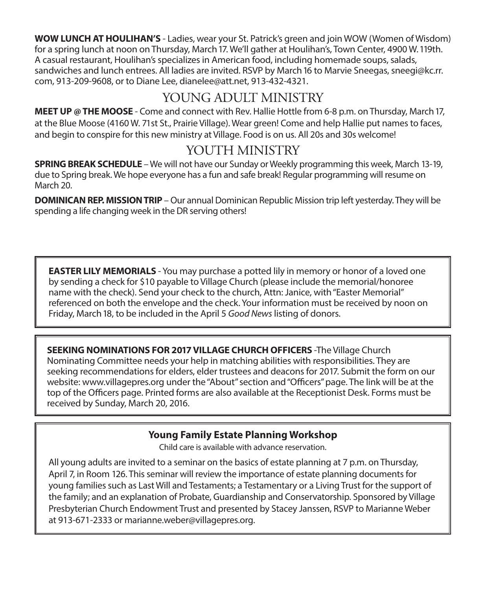**WOW LUNCH AT HOULIHAN'S** - Ladies, wear your St. Patrick's green and join WOW (Women of Wisdom) for a spring lunch at noon on Thursday, March 17. We'll gather at Houlihan's, Town Center, 4900 W.119th. A casual restaurant, Houlihan's specializes in American food, including homemade soups, salads, sandwiches and lunch entrees. All ladies are invited. RSVP by March 16 to Marvie Sneegas, sneegi@kc.rr. com, 913-209-9608, or to Diane Lee, dianelee@att.net, 913-432-4321.

## YOUNG ADULT MINISTRY

**MEET UP @ THE MOOSE** - Come and connect with Rev. Hallie Hottle from 6-8 p.m. on Thursday, March 17, at the Blue Moose (4160 W. 71st St., Prairie Village). Wear green! Come and help Hallie put names to faces, and begin to conspire for this new ministry at Village. Food is on us. All 20s and 30s welcome!

## YOUTH MINISTRY

**SPRING BREAK SCHEDULE** – We will not have our Sunday or Weekly programming this week, March 13-19, due to Spring break. We hope everyone has a fun and safe break! Regular programming will resume on March 20.

**DOMINICAN REP. MISSION TRIP** – Our annual Dominican Republic Mission trip left yesterday. They will be spending a life changing week in the DR serving others!

**EASTER LILY MEMORIALS** - You may purchase a potted lily in memory or honor of a loved one by sending a check for \$10 payable to Village Church (please include the memorial/honoree name with the check). Send your check to the church, Attn: Janice, with "Easter Memorial" referenced on both the envelope and the check. Your information must be received by noon on Friday, March 18, to be included in the April 5 *Good News* listing of donors.

**SEEKING NOMINATIONS FOR 2017 VILLAGE CHURCH OFFICERS** -The Village Church Nominating Committee needs your help in matching abilities with responsibilities. They are seeking recommendations for elders, elder trustees and deacons for 2017. Submit the form on our website: www.villagepres.org under the "About" section and "Officers" page. The link will be at the top of the Officers page. Printed forms are also available at the Receptionist Desk. Forms must be received by Sunday, March 20, 2016.

### **Young Family Estate Planning Workshop**

Child care is available with advance reservation.

All young adults are invited to a seminar on the basics of estate planning at 7 p.m. on Thursday, April 7, in Room 126. This seminar will review the importance of estate planning documents for young families such as Last Will and Testaments; a Testamentary or a Living Trust for the support of the family; and an explanation of Probate, Guardianship and Conservatorship. Sponsored by Village Presbyterian Church Endowment Trust and presented by Stacey Janssen, RSVP to Marianne Weber at 913-671-2333 or marianne.weber@villagepres.org.